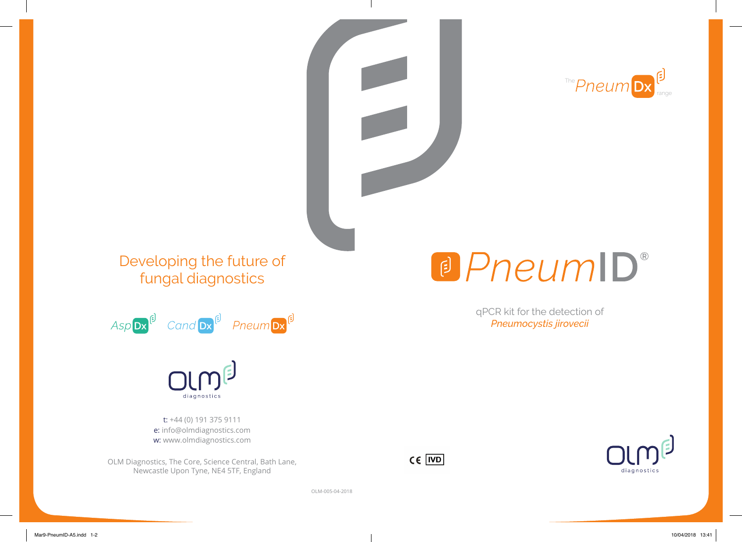

qPCR kit for the detection of *Pneumocystis jirovecii*

a PneumID®

### Developing the future of fungal diagnostics



# diagnostics

t: +44 (0) 191 375 9111 e: info@olmdiagnostics.com w: www.olmdiagnostics.com

OLM Diagnostics, The Core, Science Central, Bath Lane, Newcastle Upon Tyne, NE4 5TF, England



OLM-005-04-2018



Mar9-PneumID-A5.indd 1-2 10/04/2018 13:41